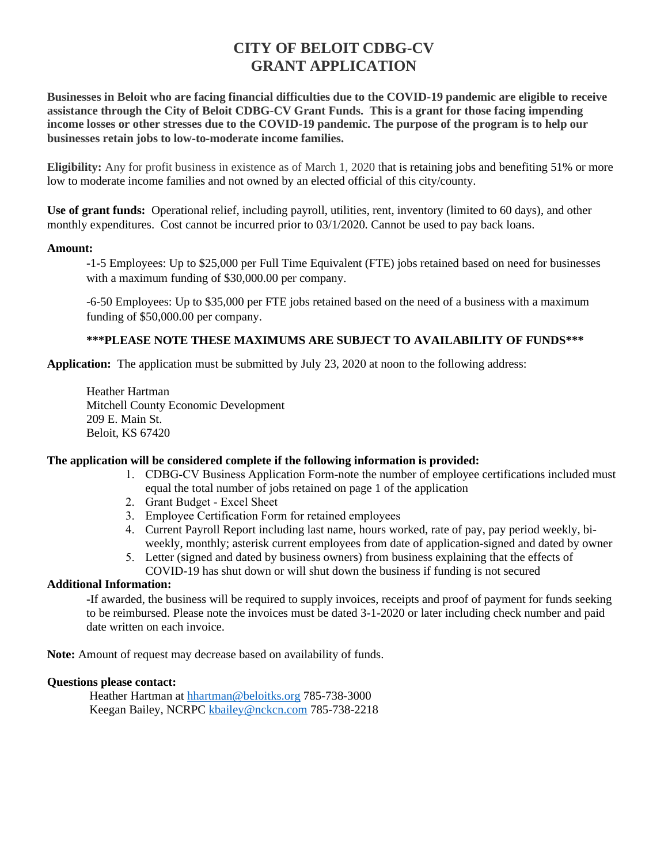# **CITY OF BELOIT CDBG-CV GRANT APPLICATION**

**Businesses in Beloit who are facing financial difficulties due to the COVID-19 pandemic are eligible to receive assistance through the City of Beloit CDBG-CV Grant Funds. This is a grant for those facing impending income losses or other stresses due to the COVID-19 pandemic. The purpose of the program is to help our businesses retain jobs to low-to-moderate income families.**

**Eligibility:** Any for profit business in existence as of March 1, 2020 that is retaining jobs and benefiting 51% or more low to moderate income families and not owned by an elected official of this city/county.

**Use of grant funds:** Operational relief, including payroll, utilities, rent, inventory (limited to 60 days), and other monthly expenditures. Cost cannot be incurred prior to 03/1/2020. Cannot be used to pay back loans.

### **Amount:**

-1-5 Employees: Up to \$25,000 per Full Time Equivalent (FTE) jobs retained based on need for businesses with a maximum funding of \$30,000.00 per company.

-6-50 Employees: Up to \$35,000 per FTE jobs retained based on the need of a business with a maximum funding of \$50,000.00 per company.

### **\*\*\*PLEASE NOTE THESE MAXIMUMS ARE SUBJECT TO AVAILABILITY OF FUNDS\*\*\***

**Application:** The application must be submitted by July 23, 2020 at noon to the following address:

Heather Hartman Mitchell County Economic Development 209 E. Main St. Beloit, KS 67420

### **The application will be considered complete if the following information is provided:**

- 1. CDBG-CV Business Application Form-note the number of employee certifications included must equal the total number of jobs retained on page 1 of the application
- 2. Grant Budget Excel Sheet
- 3. Employee Certification Form for retained employees
- 4. Current Payroll Report including last name, hours worked, rate of pay, pay period weekly, biweekly, monthly; asterisk current employees from date of application-signed and dated by owner
- 5. Letter (signed and dated by business owners) from business explaining that the effects of COVID-19 has shut down or will shut down the business if funding is not secured

### **Additional Information:**

-If awarded, the business will be required to supply invoices, receipts and proof of payment for funds seeking to be reimbursed. Please note the invoices must be dated 3-1-2020 or later including check number and paid date written on each invoice.

**Note:** Amount of request may decrease based on availability of funds.

### **Questions please contact:**

Heather Hartman at [hhartman@beloitks.org](mailto:hhartman@beloitks.org) 785-738-3000 Keegan Bailey, NCRPC [kbailey@nckcn.com](mailto:kbailey@nckcn.com) 785-738-2218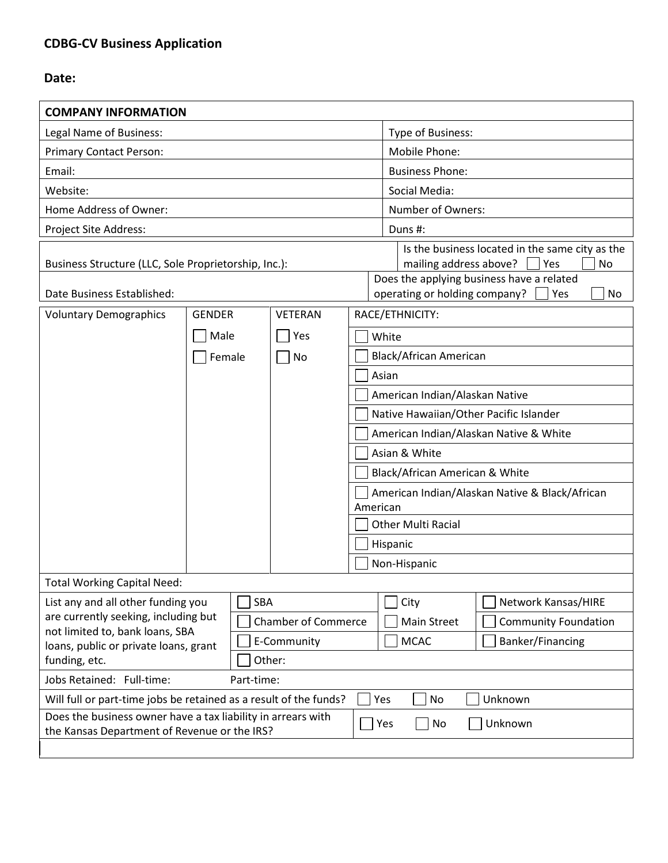# **CDBG-CV Business Application**

## **Date:**

| <b>COMPANY INFORMATION</b>                                                                                                                                                                                                                            |               |                |                                                         |  |
|-------------------------------------------------------------------------------------------------------------------------------------------------------------------------------------------------------------------------------------------------------|---------------|----------------|---------------------------------------------------------|--|
| Legal Name of Business:                                                                                                                                                                                                                               |               |                | Type of Business:                                       |  |
| <b>Primary Contact Person:</b>                                                                                                                                                                                                                        |               |                | Mobile Phone:                                           |  |
| Email:                                                                                                                                                                                                                                                |               |                | <b>Business Phone:</b>                                  |  |
| Website:                                                                                                                                                                                                                                              |               |                | Social Media:                                           |  |
| Home Address of Owner:                                                                                                                                                                                                                                |               |                | Number of Owners:                                       |  |
| Project Site Address:                                                                                                                                                                                                                                 |               |                | Duns #:                                                 |  |
| Is the business located in the same city as the<br>mailing address above?<br> Yes<br>Business Structure (LLC, Sole Proprietorship, Inc.):<br>Does the applying business have a related<br>operating or holding company?<br>Date Business Established: |               |                |                                                         |  |
| <b>Voluntary Demographics</b>                                                                                                                                                                                                                         | <b>GENDER</b> | <b>VETERAN</b> | Yes<br>No<br>RACE/ETHNICITY:                            |  |
|                                                                                                                                                                                                                                                       | Male          | Yes            |                                                         |  |
|                                                                                                                                                                                                                                                       |               |                | White                                                   |  |
|                                                                                                                                                                                                                                                       | Female        | No             | <b>Black/African American</b><br>Asian                  |  |
|                                                                                                                                                                                                                                                       |               |                | American Indian/Alaskan Native                          |  |
|                                                                                                                                                                                                                                                       |               |                | Native Hawaiian/Other Pacific Islander                  |  |
|                                                                                                                                                                                                                                                       |               |                |                                                         |  |
|                                                                                                                                                                                                                                                       |               |                | American Indian/Alaskan Native & White<br>Asian & White |  |
|                                                                                                                                                                                                                                                       |               |                | Black/African American & White                          |  |
|                                                                                                                                                                                                                                                       |               |                | American Indian/Alaskan Native & Black/African          |  |
|                                                                                                                                                                                                                                                       |               |                | American                                                |  |
|                                                                                                                                                                                                                                                       |               |                | <b>Other Multi Racial</b>                               |  |
|                                                                                                                                                                                                                                                       |               |                | Hispanic                                                |  |
|                                                                                                                                                                                                                                                       |               |                | Non-Hispanic                                            |  |
| <b>Total Working Capital Need:</b>                                                                                                                                                                                                                    |               |                |                                                         |  |
| SBA<br>Network Kansas/HIRE<br>List any and all other funding you<br>City<br>are currently seeking, including but<br><b>Chamber of Commerce</b><br>Main Street<br><b>Community Foundation</b><br>not limited to, bank loans, SBA                       |               |                |                                                         |  |
| <b>MCAC</b><br>Banker/Financing<br>E-Community<br>loans, public or private loans, grant<br>funding, etc.<br>Other:                                                                                                                                    |               |                |                                                         |  |
| Jobs Retained: Full-time:<br>Part-time:                                                                                                                                                                                                               |               |                |                                                         |  |
| Will full or part-time jobs be retained as a result of the funds?<br>Yes<br>Unknown<br>No                                                                                                                                                             |               |                |                                                         |  |
| Does the business owner have a tax liability in arrears with                                                                                                                                                                                          |               |                |                                                         |  |
| Yes<br>Unknown<br>No<br>the Kansas Department of Revenue or the IRS?                                                                                                                                                                                  |               |                |                                                         |  |
|                                                                                                                                                                                                                                                       |               |                |                                                         |  |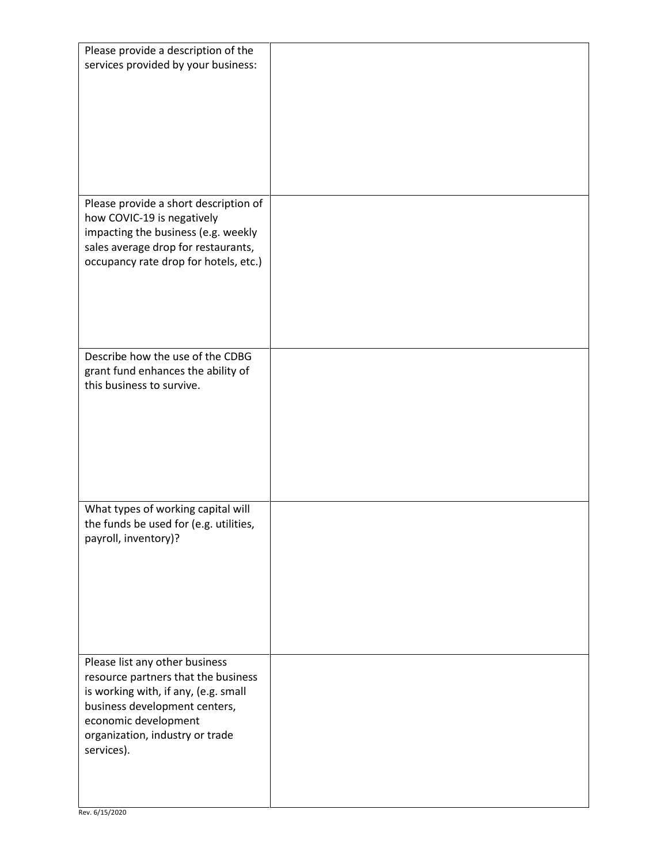| Please provide a description of the<br>services provided by your business:                                                                                                                                              |  |
|-------------------------------------------------------------------------------------------------------------------------------------------------------------------------------------------------------------------------|--|
| Please provide a short description of<br>how COVIC-19 is negatively<br>impacting the business (e.g. weekly<br>sales average drop for restaurants,<br>occupancy rate drop for hotels, etc.)                              |  |
| Describe how the use of the CDBG<br>grant fund enhances the ability of<br>this business to survive.                                                                                                                     |  |
| What types of working capital will<br>the funds be used for (e.g. utilities,<br>payroll, inventory)?                                                                                                                    |  |
| Please list any other business<br>resource partners that the business<br>is working with, if any, (e.g. small<br>business development centers,<br>economic development<br>organization, industry or trade<br>services). |  |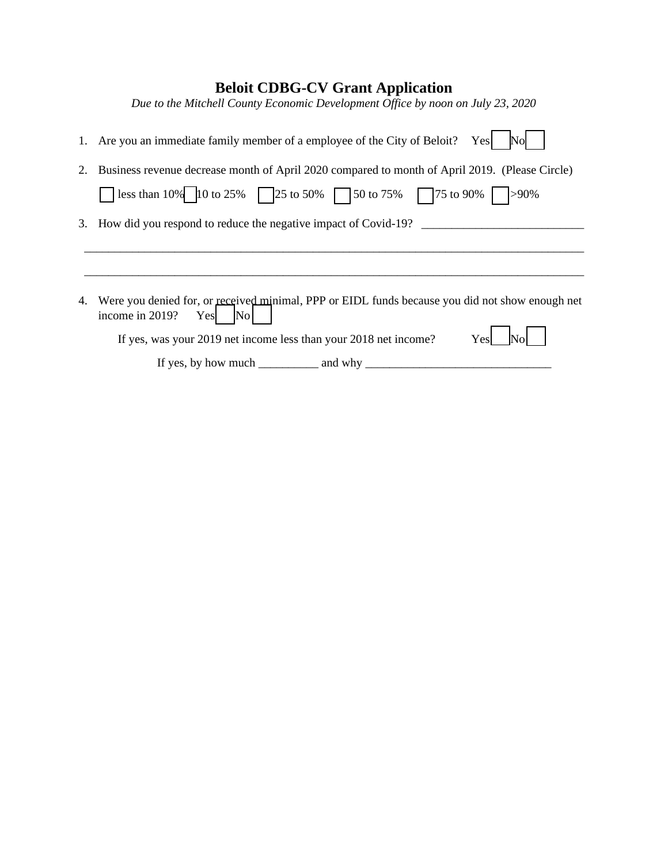## **Beloit CDBG-CV Grant Application**

*Due to the Mitchell County Economic Development Office by noon on July 23, 2020*

|    | 1. Are you an immediate family member of a employee of the City of Beloit?<br>Yes<br><b>No</b>                                                                |
|----|---------------------------------------------------------------------------------------------------------------------------------------------------------------|
| 2. | Business revenue decrease month of April 2020 compared to month of April 2019. (Please Circle)<br>1ess than 10% 10 to 25% 25 to 50% 50 to 75% 75 to 90% > 90% |
|    | 3. How did you respond to reduce the negative impact of Covid-19?                                                                                             |
|    |                                                                                                                                                               |
| 4. | Were you denied for, or received minimal, PPP or EIDL funds because you did not show enough net<br>income in 2019?<br>Yes No                                  |
|    | Yes<br>If yes, was your 2019 net income less than your 2018 net income?                                                                                       |
|    | If yes, by how much $\_\_\_\_\_\$ and why $\_\_\_\_\_\_\_\_\_\_\_$                                                                                            |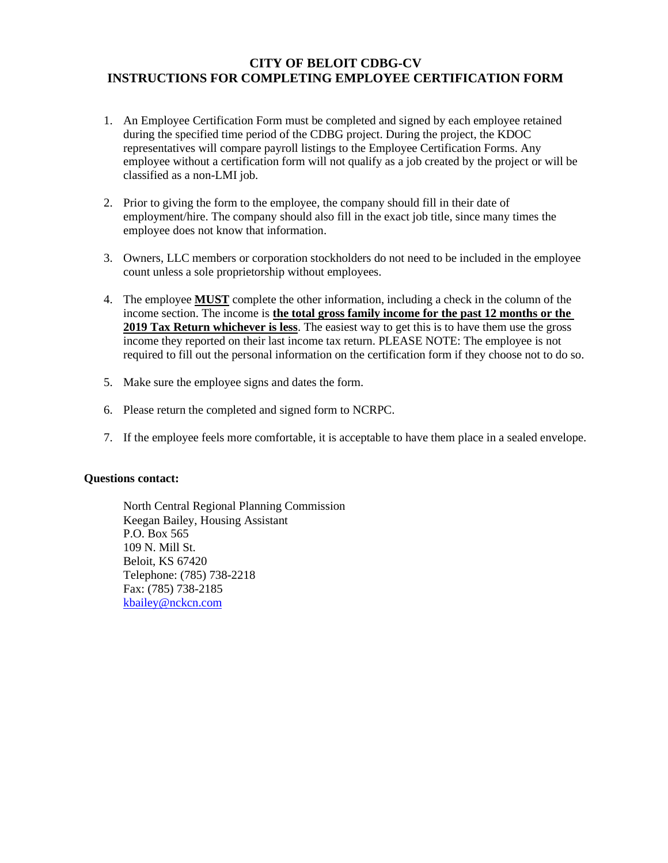## **CITY OF BELOIT CDBG-CV INSTRUCTIONS FOR COMPLETING EMPLOYEE CERTIFICATION FORM**

- 1. An Employee Certification Form must be completed and signed by each employee retained during the specified time period of the CDBG project. During the project, the KDOC representatives will compare payroll listings to the Employee Certification Forms. Any employee without a certification form will not qualify as a job created by the project or will be classified as a non-LMI job.
- 2. Prior to giving the form to the employee, the company should fill in their date of employment/hire. The company should also fill in the exact job title, since many times the employee does not know that information.
- 3. Owners, LLC members or corporation stockholders do not need to be included in the employee count unless a sole proprietorship without employees.
- 4. The employee **MUST** complete the other information, including a check in the column of the income section. The income is **the total gross family income for the past 12 months or the 2019 Tax Return whichever is less**. The easiest way to get this is to have them use the gross income they reported on their last income tax return. PLEASE NOTE: The employee is not required to fill out the personal information on the certification form if they choose not to do so.
- 5. Make sure the employee signs and dates the form.
- 6. Please return the completed and signed form to NCRPC.
- 7. If the employee feels more comfortable, it is acceptable to have them place in a sealed envelope.

#### **Questions contact:**

North Central Regional Planning Commission Keegan Bailey, Housing Assistant P.O. Box 565 109 N. Mill St. Beloit, KS 67420 Telephone: (785) 738-2218 Fax: (785) 738-2185 [kbailey@nckcn.com](mailto:kbailey@nckcn.com)